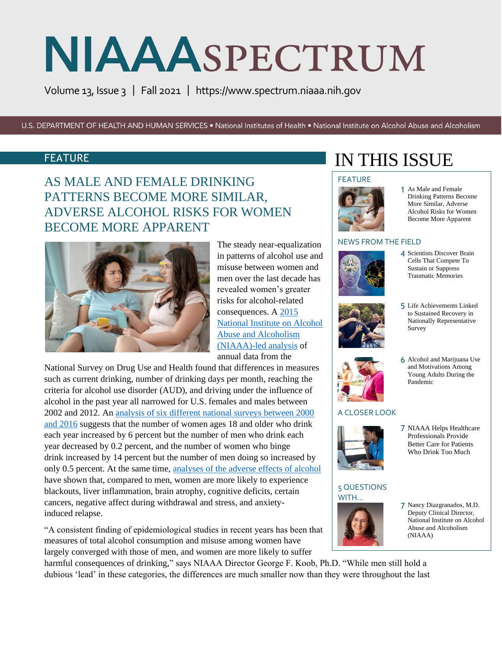Volume 13, Issue 3 | Fall 2021 | [https://www.spectrum.niaaa.nih.gov](https://www.spectrum.niaaa.nih.gov/) 

U.S. DEPARTMENT OF HEALTH AND HUMAN SERVICES . National Institutes of Health . National Institute on Alcohol Abuse and Alcoholism

### FEATURE

AS MALE AND FEMALE DRINKING PATTERNS BECOME MORE SIMILAR, ADVERSE ALCOHOL RISKS FOR WOMEN BECOME MORE APPARENT



The steady near-equalization in patterns of alcohol use and misuse between women and men over the last decade has revealed women's greater risks for alcohol-related consequences. A [2015](https://pubmed.ncbi.nlm.nih.gov/26331879/)  [National Institute on Alcohol](https://pubmed.ncbi.nlm.nih.gov/26331879/)  [Abuse and Alcoholism](https://pubmed.ncbi.nlm.nih.gov/26331879/)  [\(NIAAA\)-led analysis](https://pubmed.ncbi.nlm.nih.gov/26331879/) of annual data from the

National Survey on Drug Use and Health found that differences in measures such as current drinking, number of drinking days per month, reaching the criteria for alcohol use disorder (AUD), and driving under the influence of alcohol in the past year all narrowed for U.S. females and males between 2002 and 2012. A[n analysis of six different national surveys between 2000](https://pubmed.ncbi.nlm.nih.gov/30080258/)  [and 2016](https://pubmed.ncbi.nlm.nih.gov/30080258/) suggests that the number of women ages 18 and older who drink each year increased by 6 percent but the number of men who drink each year decreased by 0.2 percent, and the number of women who binge drink increased by 14 percent but the number of men doing so increased by only 0.5 percent. At the same time, [analyses of the adverse effects of alcohol](https://pubmed.ncbi.nlm.nih.gov/26772794/) have shown that, compared to men, women are more likely to experience blackouts, liver inflammation, brain atrophy, cognitive deficits, certain cancers, negative affect during withdrawal and stress, and anxietyinduced relapse.

"A consistent finding of epidemiological studies in recent years has been that measures of total alcohol consumption and misuse among women have largely converged with those of men, and women are more likely to suffer

harmful consequences of drinking," says NIAAA Director George F. Koob, Ph.D. "While men still hold a dubious 'lead' in these categories, the differences are much smaller now than they were throughout the last

# IN THIS ISSUE

#### FEATURE



1 As Male and Female Drinking Patterns Become More Similar, Adverse Alcohol Risks for Women Become More Apparent

#### NEWS FROM THE FIELD



4 Scientists Discover Brain Cells That Compete To Sustain or Suppress Traumatic Memories



5 Life Achievements Linked to Sustained Recovery in Nationally Representative Survey

6 Alcohol and Marijuana Use and Motivations Among Young Adults During the

Pandemic



#### A CLOSER LOOK



#### 5 QUESTIONS WITH…



- 7 NIAAA Helps Healthcare Professionals Provide Better Care for Patients Who Drink Too Much
- 7 Nancy Diazgranados, M.D. Deputy Clinical Director, National Institute on Alcohol Abuse and Alcoholism  $(NIAAA)$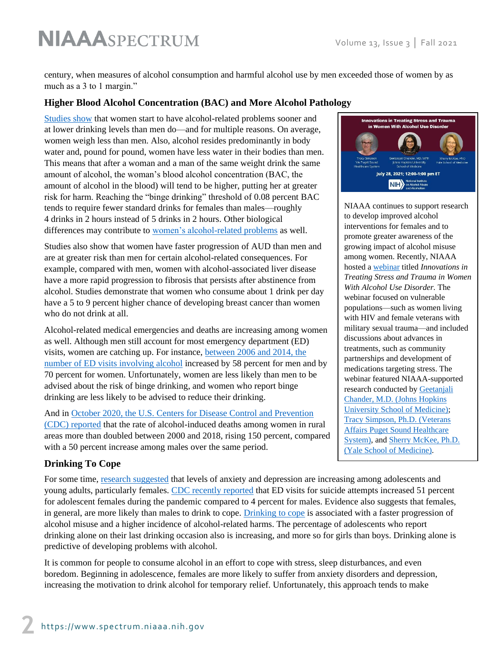century, when measures of alcohol consumption and harmful alcohol use by men exceeded those of women by as much as a 3 to 1 margin."

#### **Higher Blood Alcohol Concentration (BAC) and More Alcohol Pathology**

[Studies show](https://pubmed.ncbi.nlm.nih.gov/30775160/) that women start to have alcohol-related problems sooner and at lower drinking levels than men do—and for multiple reasons. On average, women weigh less than men. Also, alcohol resides predominantly in body water and, pound for pound, women have less water in their bodies than men. This means that after a woman and a man of the same weight drink the same amount of alcohol, the woman's blood alcohol concentration (BAC, the amount of alcohol in the blood) will tend to be higher, putting her at greater risk for harm. Reaching the "binge drinking" threshold of 0.08 percent BAC tends to require fewer standard drinks for females than males—roughly 4 drinks in 2 hours instead of 5 drinks in 2 hours. Other biological differences may contribute to [women's alcohol-related problems](https://www.niaaa.nih.gov/publications/brochures-and-fact-sheets/women-and-alcohol) as well.

Studies also show that women have faster progression of AUD than men and are at greater risk than men for certain alcohol-related consequences. For example, compared with men, women with alcohol-associated liver disease have a more rapid progression to fibrosis that persists after abstinence from alcohol. Studies demonstrate that women who consume about 1 drink per day have a 5 to 9 percent higher chance of developing breast cancer than women who do not drink at all.

Alcohol-related medical emergencies and deaths are increasing among women as well. Although men still account for most emergency department (ED) visits, women are catching up. For instance, [between 2006 and 2014, the](https://pubmed.ncbi.nlm.nih.gov/29293274/)  [number of ED visits involving alcohol](https://pubmed.ncbi.nlm.nih.gov/29293274/) increased by 58 percent for men and by 70 percent for women. Unfortunately, women are less likely than men to be advised about the risk of binge drinking, and women who report binge drinking are less likely to be advised to reduce their drinking.

And in [October 2020, the U.S. Centers for Disease Control and Prevention](https://pubmed.ncbi.nlm.nih.gov/33054909/)  [\(CDC\) reported](https://pubmed.ncbi.nlm.nih.gov/33054909/) that the rate of alcohol-induced deaths among women in rural areas more than doubled between 2000 and 2018, rising 150 percent, compared with a 50 percent increase among males over the same period.

#### **Drinking To Cope**

For some time, [research suggested](https://pubmed.ncbi.nlm.nih.gov/31074877/) that levels of anxiety and depression are increasing among adolescents and young adults, particularly females. [CDC recently reported](https://www.cdc.gov/mmwr/volumes/70/wr/mm7024e1.htm?s_cid=mm7024e1_x) that ED visits for suicide attempts increased 51 percent for adolescent females during the pandemic compared to 4 percent for males. Evidence also suggests that females, in general, are more likely than males to drink to cope. [Drinking to cope](https://pubmed.ncbi.nlm.nih.gov/24411801/) is associated with a faster progression of alcohol misuse and a higher incidence of alcohol-related harms. The percentage of adolescents who report drinking alone on their last drinking occasion also is increasing, and more so for girls than boys. Drinking alone is predictive of developing problems with alcohol.

It is common for people to consume alcohol in an effort to cope with stress, sleep disturbances, and even boredom. Beginning in adolescence, females are more likely to suffer from anxiety disorders and depression, increasing the motivation to drink alcohol for temporary relief. Unfortunately, this approach tends to make



NIAAA continues to support research to develop improved alcohol interventions for females and to promote greater awareness of the growing impact of alcohol misuse among women. Recently, NIAAA hosted a [webinar](https://videocast.nih.gov/watch=42248) titled *Innovations in Treating Stress and Trauma in Women With Alcohol Use Disorder.* The webinar focused on vulnerable populations—such as women living with HIV and female veterans with military sexual trauma—and included discussions about advances in treatments, such as community partnerships and development of medications targeting stress. The webinar featured NIAAA-supported research conducted by [Geetanjali](https://reporter.nih.gov/search/o1_TjzsFjkmudxoluGeUig/project-details/9768880)  [Chander, M.D. \(Johns Hopkins](https://reporter.nih.gov/search/o1_TjzsFjkmudxoluGeUig/project-details/9768880)  [University School of Medicine\);](https://reporter.nih.gov/search/o1_TjzsFjkmudxoluGeUig/project-details/9768880) [Tracy Simpson, Ph.D. \(Veterans](https://reporter.nih.gov/search/qLJJGuEWVkKZYewwO-P7fw/project-details/9000091)  [Affairs Puget Sound Healthcare](https://reporter.nih.gov/search/qLJJGuEWVkKZYewwO-P7fw/project-details/9000091)  [System\),](https://reporter.nih.gov/search/qLJJGuEWVkKZYewwO-P7fw/project-details/9000091) an[d Sherry McKee, Ph.D.](https://reporter.nih.gov/search/fUrIiIQXmkic1Mb_djV2MA/project-details/10122868)  [\(Yale School of Medicine\).](https://reporter.nih.gov/search/fUrIiIQXmkic1Mb_djV2MA/project-details/10122868)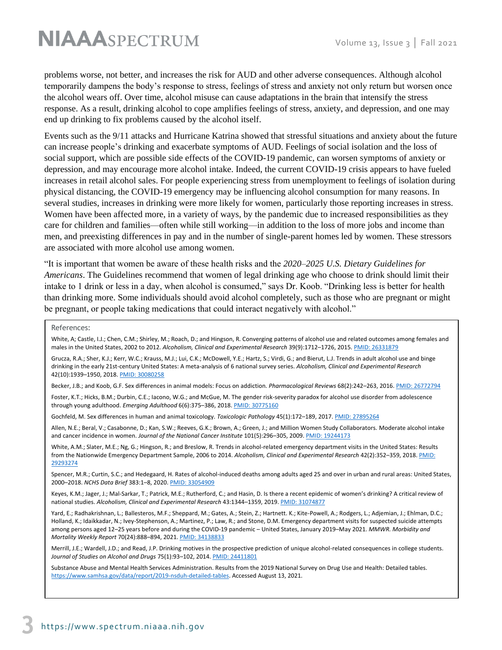problems worse, not better, and increases the risk for AUD and other adverse consequences. Although alcohol temporarily dampens the body's response to stress, feelings of stress and anxiety not only return but worsen once the alcohol wears off. Over time, alcohol misuse can cause adaptations in the brain that intensify the stress response. As a result, drinking alcohol to cope amplifies feelings of stress, anxiety, and depression, and one may end up drinking to fix problems caused by the alcohol itself.

Events such as the 9/11 attacks and Hurricane Katrina showed that stressful situations and anxiety about the future can increase people's drinking and exacerbate symptoms of AUD. Feelings of social isolation and the loss of social support, which are possible side effects of the COVID-19 pandemic, can worsen symptoms of anxiety or depression, and may encourage more alcohol intake. Indeed, the current COVID-19 crisis appears to have fueled increases in retail alcohol sales. For people experiencing stress from unemployment to feelings of isolation during physical distancing, the COVID-19 emergency may be influencing alcohol consumption for many reasons. In several studies, increases in drinking were more likely for women, particularly those reporting increases in stress. Women have been affected more, in a variety of ways, by the pandemic due to increased responsibilities as they care for children and families—often while still working—in addition to the loss of more jobs and income than men, and preexisting differences in pay and in the number of single-parent homes led by women. These stressors are associated with more alcohol use among women.

"It is important that women be aware of these health risks and the *2020–2025 U.S. Dietary Guidelines for Americans*. The Guidelines recommend that women of legal drinking age who choose to drink should limit their intake to 1 drink or less in a day, when alcohol is consumed," says Dr. Koob. "Drinking less is better for health than drinking more. Some individuals should avoid alcohol completely, such as those who are pregnant or might be pregnant, or people taking medications that could interact negatively with alcohol."

#### References:

White, A; Castle, I.J.; Chen, C.M.; Shirley, M.; Roach, D.; and Hingson, R. Converging patterns of alcohol use and related outcomes among females and males in the United States, 2002 to 2012. *Alcoholism, Clinical and Experimental Research* 39(9):1712–1726, 2015[. PMID: 26331879](https://pubmed.ncbi.nlm.nih.gov/26331879/)

Grucza, R.A.; Sher, K.J.; Kerr, W.C.; Krauss, M.J.; Lui, C.K.; McDowell, Y.E.; Hartz, S.; Virdi, G.; and Bierut, L.J. Trends in adult alcohol use and binge drinking in the early 21st‐century United States: A meta‐analysis of 6 national survey series. *Alcoholism, Clinical and Experimental Research* 42(10):1939–1950, 2018[. PMID: 30080258](https://pubmed.ncbi.nlm.nih.gov/30080258/)

Becker, J.B.; and Koob, G.F. Sex differences in animal models: Focus on addiction. *Pharmacological Reviews* 68(2):242–263, 2016[. PMID: 26772794](https://pubmed.ncbi.nlm.nih.gov/26772794/)

Foster, K.T.; Hicks, B.M.; Durbin, C.E.; Iacono, W.G.; and McGue, M. The gender risk-severity paradox for alcohol use disorder from adolescence through young adulthood. *Emerging Adulthood* 6(6):375–386, 2018[. PMID: 30775160](https://pubmed.ncbi.nlm.nih.gov/30775160/)

Gochfeld, M. Sex differences in human and animal toxicology. *Toxicologic Pathology* 45(1):172–189, 2017[. PMID: 27895264](https://pubmed.ncbi.nlm.nih.gov/27895264/)

Allen, N.E.; Beral, V.; Casabonne, D.; Kan, S.W.; Reeves, G.K.; Brown, A.; Green, J.; and Million Women Study Collaborators. Moderate alcohol intake and cancer incidence in women. *Journal of the National Cancer Institute* 101(5):296–305, 2009[. PMID: 19244173](https://pubmed.ncbi.nlm.nih.gov/19244173/)

White, A.M.; Slater, M.E.; Ng, G.; Hingson, R.; and Breslow, R. Trends in alcohol-related emergency department visits in the United States: Results from the Nationwide Emergency Department Sample, 2006 to 2014. *Alcoholism, Clinical and Experimental Research* 42(2):352–359, 2018[. PMID:](https://pubmed.ncbi.nlm.nih.gov/29293274/)  [29293274](https://pubmed.ncbi.nlm.nih.gov/29293274/)

Spencer, M.R.; Curtin, S.C.; and Hedegaard, H. Rates of alcohol-induced deaths among adults aged 25 and over in urban and rural areas: United States, 2000–2018. *NCHS Data Brief* 383:1–8, 2020[. PMID: 33054909](https://pubmed.ncbi.nlm.nih.gov/33054909/)

Keyes, K.M.; Jager, J.; Mal‐Sarkar, T.; Patrick, M.E.; Rutherford, C.; and Hasin, D. Is there a recent epidemic of women's drinking? A critical review of national studies. *Alcoholism, Clinical and Experimental Research* 43:1344–1359, 2019[. PMID: 31074877](https://pubmed.ncbi.nlm.nih.gov/31074877/)

Yard, E.; Radhakrishnan, L.; Ballesteros, M.F.; Sheppard, M.; Gates, A.; Stein, Z.; Hartnett. K.; Kite-Powell, A.; Rodgers, L.; Adjemian, J.; Ehlman, D.C.; Holland, K.; Idaikkadar, N.; Ivey-Stephenson, A.; Martinez, P.; Law, R.; and Stone, D.M. Emergency department visits for suspected suicide attempts among persons aged 12–25 years before and during the COVID-19 pandemic – United States, January 2019–May 2021. *MMWR. Morbidity and Mortality Weekly Report* 70(24):888–894, 2021[. PMID: 34138833](https://pubmed.ncbi.nlm.nih.gov/34138833/)

Merrill, J.E.; Wardell, J.D.; and Read, J.P. Drinking motives in the prospective prediction of unique alcohol-related consequences in college students. *Journal of Studies on Alcohol and Drugs* 75(1):93–102, 2014[. PMID: 24411801](https://pubmed.ncbi.nlm.nih.gov/24411801/)

Substance Abuse and Mental Health Services Administration. Results from the 2019 National Survey on Drug Use and Health: Detailed tables. [https://www.samhsa.gov/data/report/2019-nsduh-detailed-tables.](https://www.samhsa.gov/data/report/2019-nsduh-detailed-tables) Accessed August 13, 2021.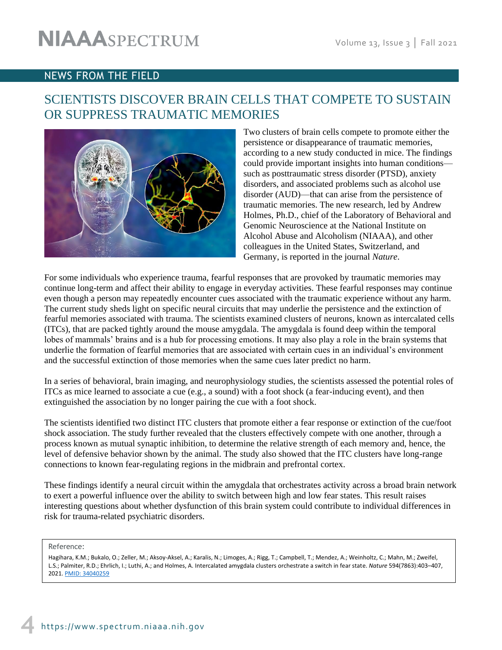### NEWS FROM THE FIELD

# SCIENTISTS DISCOVER BRAIN CELLS THAT COMPETE TO SUSTAIN OR SUPPRESS TRAUMATIC MEMORIES



Two clusters of brain cells compete to promote either the persistence or disappearance of traumatic memories, according to a new study conducted in mice. The findings could provide important insights into human conditions such as posttraumatic stress disorder (PTSD), anxiety disorders, and associated problems such as alcohol use disorder (AUD)—that can arise from the persistence of traumatic memories. The new research, led by Andrew Holmes, Ph.D., chief of the Laboratory of Behavioral and Genomic Neuroscience at the National Institute on Alcohol Abuse and Alcoholism (NIAAA), and other colleagues in the United States, Switzerland, and Germany, is reported in the journal *Nature*.

For some individuals who experience trauma, fearful responses that are provoked by traumatic memories may continue long-term and affect their ability to engage in everyday activities. These fearful responses may continue even though a person may repeatedly encounter cues associated with the traumatic experience without any harm. The current study sheds light on specific neural circuits that may underlie the persistence and the extinction of fearful memories associated with trauma. The scientists examined clusters of neurons, known as intercalated cells (ITCs), that are packed tightly around the mouse amygdala. The amygdala is found deep within the temporal lobes of mammals' brains and is a hub for processing emotions. It may also play a role in the brain systems that underlie the formation of fearful memories that are associated with certain cues in an individual's environment and the successful extinction of those memories when the same cues later predict no harm.

In a series of behavioral, brain imaging, and neurophysiology studies, the scientists assessed the potential roles of ITCs as mice learned to associate a cue (e.g., a sound) with a foot shock (a fear-inducing event), and then extinguished the association by no longer pairing the cue with a foot shock.

The scientists identified two distinct ITC clusters that promote either a fear response or extinction of the cue/foot shock association. The study further revealed that the clusters effectively compete with one another, through a process known as mutual synaptic inhibition, to determine the relative strength of each memory and, hence, the level of defensive behavior shown by the animal. The study also showed that the ITC clusters have long-range connections to known fear-regulating regions in the midbrain and prefrontal cortex.

These findings identify a neural circuit within the amygdala that orchestrates activity across a broad brain network to exert a powerful influence over the ability to switch between high and low fear states. This result raises interesting questions about whether dysfunction of this brain system could contribute to individual differences in risk for trauma-related psychiatric disorders.

Reference:

 $\overline{a}$ 

Hagihara, K.M.; Bukalo, O.; Zeller, M.; Aksoy-Aksel, A.; Karalis, N.; Limoges, A.; Rigg, T.; Campbell, T.; Mendez, A.; Weinholtz, C.; Mahn, M.; Zweifel, L.S.; Palmiter, R.D.; Ehrlich, I.; Luthi, A.; and Holmes, A. Intercalated amygdala clusters orchestrate a switch in fear state. *Nature* 594(7863):403–407, 2021[. PMID: 34040259](https://pubmed.ncbi.nlm.nih.gov/34040259/)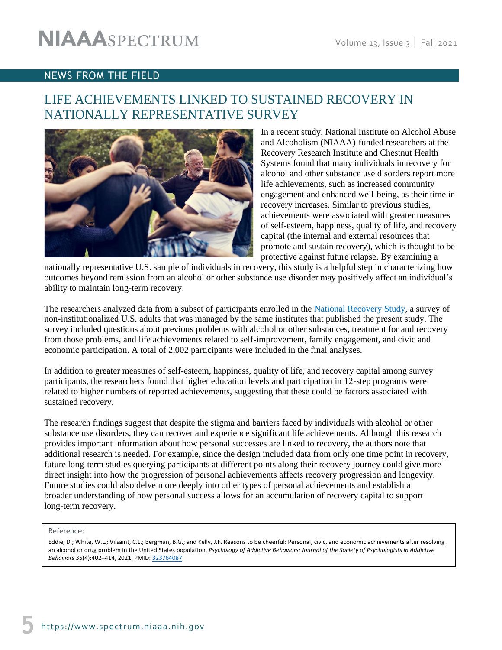### NEWS FROM THE FIELD

# LIFE ACHIEVEMENTS LINKED TO SUSTAINED RECOVERY IN NATIONALLY REPRESENTATIVE SURVEY



In a recent study, National Institute on Alcohol Abuse and Alcoholism (NIAAA)-funded researchers at the Recovery Research Institute and Chestnut Health Systems found that many individuals in recovery for alcohol and other substance use disorders report more life achievements, such as increased community engagement and enhanced well-being, as their time in recovery increases. Similar to previous studies, achievements were associated with greater measures of self-esteem, happiness, quality of life, and recovery capital (the internal and external resources that promote and sustain recovery), which is thought to be protective against future relapse. By examining a

nationally representative U.S. sample of individuals in recovery, this study is a helpful step in characterizing how outcomes beyond remission from an alcohol or other substance use disorder may positively affect an individual's ability to maintain long-term recovery.

The researchers analyzed data from a subset of participants enrolled in the [National Recovery Study,](https://pubmed.ncbi.nlm.nih.gov/29055821/) a survey of non-institutionalized U.S. adults that was managed by the same institutes that published the present study. The survey included questions about previous problems with alcohol or other substances, treatment for and recovery from those problems, and life achievements related to self-improvement, family engagement, and civic and economic participation. A total of 2,002 participants were included in the final analyses.

In addition to greater measures of self-esteem, happiness, quality of life, and recovery capital among survey participants, the researchers found that higher education levels and participation in 12-step programs were related to higher numbers of reported achievements, suggesting that these could be factors associated with sustained recovery.

The research findings suggest that despite the stigma and barriers faced by individuals with alcohol or other substance use disorders, they can recover and experience significant life achievements. Although this research provides important information about how personal successes are linked to recovery, the authors note that additional research is needed. For example, since the design included data from only one time point in recovery, future long-term studies querying participants at different points along their recovery journey could give more direct insight into how the progression of personal achievements affects recovery progression and longevity. Future studies could also delve more deeply into other types of personal achievements and establish a broader understanding of how personal success allows for an accumulation of recovery capital to support long-term recovery.

#### Reference:

Eddie, D.; White, W.L.; Vilsaint, C.L.; Bergman, B.G.; and Kelly, J.F. Reasons to be cheerful: Personal, civic, and economic achievements after resolving an alcohol or drug problem in the United States population. *Psychology of Addictive Behaviors: Journal of the Society of Psychologists in Addictive Behaviors* 35(4):402–414, 2021. PMID: [323764087](https://pubmed.ncbi.nlm.nih.gov/33764087/)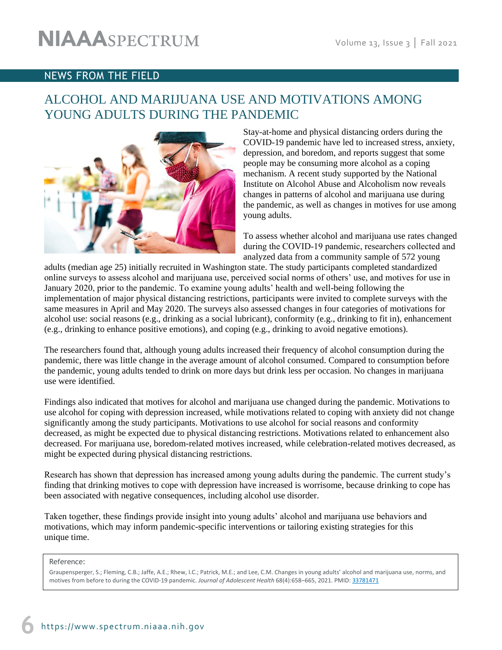### NEWS FROM THE FIELD

# ALCOHOL AND MARIJUANA USE AND MOTIVATIONS AMONG YOUNG ADULTS DURING THE PANDEMIC



Stay-at-home and physical distancing orders during the COVID-19 pandemic have led to increased stress, anxiety, depression, and boredom, and reports suggest that some people may be consuming more alcohol as a coping mechanism. A recent study supported by the National Institute on Alcohol Abuse and Alcoholism now reveals changes in patterns of alcohol and marijuana use during the pandemic, as well as changes in motives for use among young adults.

To assess whether alcohol and marijuana use rates changed during the COVID‐19 pandemic, researchers collected and analyzed data from a community sample of 572 young

adults (median age 25) initially recruited in Washington state. The study participants completed standardized online surveys to assess alcohol and marijuana use, perceived social norms of others' use, and motives for use in January 2020, prior to the pandemic. To examine young adults' health and well-being following the implementation of major physical distancing restrictions, participants were invited to complete surveys with the same measures in April and May 2020. The surveys also assessed changes in four categories of motivations for alcohol use: social reasons (e.g., drinking as a social lubricant), conformity (e.g., drinking to fit in), enhancement (e.g., drinking to enhance positive emotions), and coping (e.g., drinking to avoid negative emotions).

The researchers found that, although young adults increased their frequency of alcohol consumption during the pandemic, there was little change in the average amount of alcohol consumed. Compared to consumption before the pandemic, young adults tended to drink on more days but drink less per occasion. No changes in marijuana use were identified.

Findings also indicated that motives for alcohol and marijuana use changed during the pandemic. Motivations to use alcohol for coping with depression increased, while motivations related to coping with anxiety did not change significantly among the study participants. Motivations to use alcohol for social reasons and conformity decreased, as might be expected due to physical distancing restrictions. Motivations related to enhancement also decreased. For marijuana use, boredom-related motives increased, while celebration-related motives decreased, as might be expected during physical distancing restrictions.

Research has shown that depression has increased among young adults during the pandemic. The current study's finding that drinking motives to cope with depression have increased is worrisome, because drinking to cope has been associated with negative consequences, including alcohol use disorder.

Taken together, these findings provide insight into young adults' alcohol and marijuana use behaviors and motivations, which may inform pandemic-specific interventions or tailoring existing strategies for this unique time.

Reference:

Graupensperger, S.; Fleming, C.B.; Jaffe, A.E.; Rhew, I.C.; Patrick, M.E.; and Lee, C.M. Changes in young adults' alcohol and marijuana use, norms, and motives from before to during the COVID-19 pandemic. *Journal of Adolescent Health* 68(4):658–665, 2021[. PMID: 33781471](https://pubmed.ncbi.nlm.nih.gov/33781471/)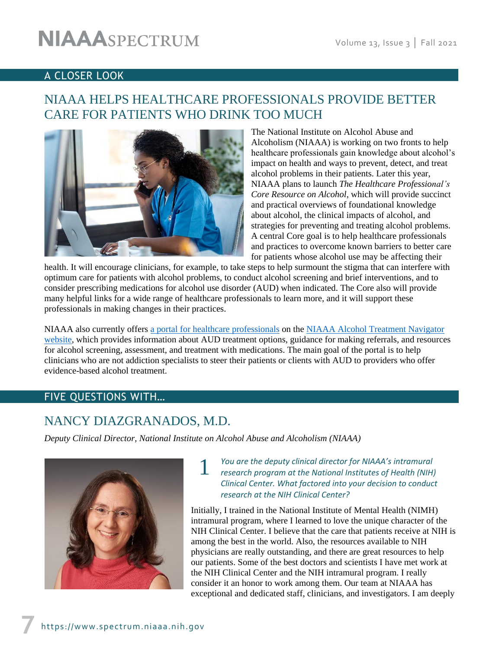### A CLOSER LOOK

# NIAAA HELPS HEALTHCARE PROFESSIONALS PROVIDE BETTER CARE FOR PATIENTS WHO DRINK TOO MUCH



The National Institute on Alcohol Abuse and Alcoholism (NIAAA) is working on two fronts to help healthcare professionals gain knowledge about alcohol's impact on health and ways to prevent, detect, and treat alcohol problems in their patients. Later this year, NIAAA plans to launch *The Healthcare Professional's Core Resource on Alcohol*, which will provide succinct and practical overviews of foundational knowledge about alcohol, the clinical impacts of alcohol, and strategies for preventing and treating alcohol problems. A central Core goal is to help healthcare professionals and practices to overcome known barriers to better care for patients whose alcohol use may be affecting their

health. It will encourage clinicians, for example, to take steps to help surmount the stigma that can interfere with optimum care for patients with alcohol problems, to conduct alcohol screening and brief interventions, and to consider prescribing medications for alcohol use disorder (AUD) when indicated. The Core also will provide many helpful links for a wide range of healthcare professionals to learn more, and it will support these professionals in making changes in their practices.

NIAAA also currently offers [a portal for healthcare professionals](https://alcoholtreatment.niaaa.nih.gov/healthcare-professionals) on the [NIAAA Alcohol Treatment Navigator](https://alcoholtreatment.niaaa.nih.gov/) website, which provides information about AUD treatment options, guidance for making referrals, and resources for alcohol screening, assessment, and treatment with medications. The main goal of the portal is to help clinicians who are not addiction specialists to steer their patients or clients with AUD to providers who offer evidence-based alcohol treatment.

### FIVE QUESTIONS WITH…

# NANCY DIAZGRANADOS, M.D.

*Deputy Clinical Director, National Institute on Alcohol Abuse and Alcoholism (NIAAA)*

1



You are the deputy clinical director for NIAAA's intramural *research program at the National Institutes of Health (NIH) Clinical Center. What factored into your decision to conduct research at the NIH Clinical Center?* 

Initially, I trained in the National Institute of Mental Health (NIMH) intramural program, where I learned to love the unique character of the NIH Clinical Center. I believe that the care that patients receive at NIH is among the best in the world. Also, the resources available to NIH physicians are really outstanding, and there are great resources to help our patients. Some of the best doctors and scientists I have met work at the NIH Clinical Center and the NIH intramural program. I really consider it an honor to work among them. Our team at NIAAA has exceptional and dedicated staff, clinicians, and investigators. I am deeply